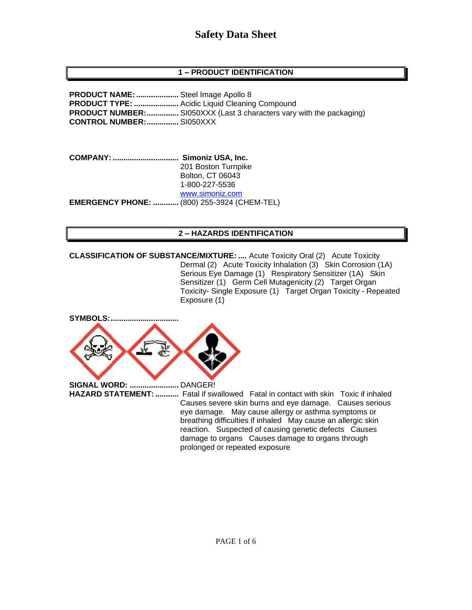### **1 – PRODUCT IDENTIFICATION**

**PRODUCT NAME:....................** Steel Image Apollo 8 **PRODUCT TYPE: .....................** Acidic Liquid Cleaning Compound **PRODUCT NUMBER:...............** SI050XXX (Last 3 characters vary with the packaging) **CONTROL NUMBER:...............** SI050XXX

**COMPANY: ............................... Simoniz USA, Inc.** 201 Boston Turnpike Bolton, CT 06043 1-800-227-5536 [www.simoniz.com](http://www.simoniz.com/) **EMERGENCY PHONE: ............** (800) 255-3924 (CHEM-TEL)

#### **2 – HAZARDS IDENTIFICATION**

**CLASSIFICATION OF SUBSTANCE/MIXTURE: ....** Acute Toxicity Oral (2) Acute Toxicity Dermal (2) Acute Toxicity Inhalation (3) Skin Corrosion (1A) Serious Eye Damage (1) Respiratory Sensitizer (1A) Skin Sensitizer (1) Germ Cell Mutagenicity (2) Target Organ Toxicity- Single Exposure (1) Target Organ Toxicity - Repeated Exposure (1)

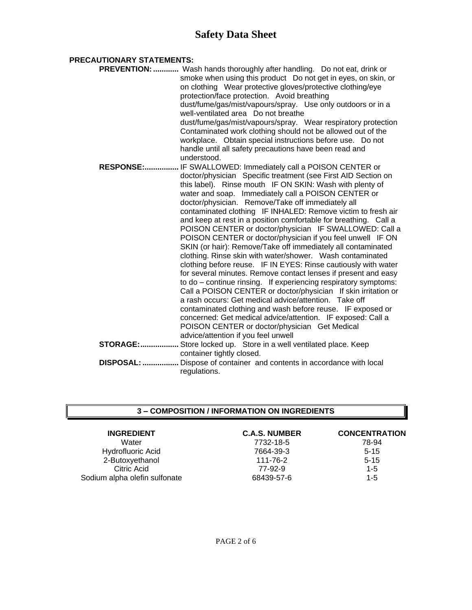#### **PRECAUTIONARY STATEMENTS:**

|                   | PREVENTION:  Wash hands thoroughly after handling. Do not eat, drink or                                  |
|-------------------|----------------------------------------------------------------------------------------------------------|
|                   | smoke when using this product  Do not get in eyes, on skin, or                                           |
|                   | on clothing Wear protective gloves/protective clothing/eye                                               |
|                   | protection/face protection. Avoid breathing                                                              |
|                   | dust/fume/gas/mist/vapours/spray. Use only outdoors or in a                                              |
|                   | well-ventilated area Do not breathe                                                                      |
|                   | dust/fume/gas/mist/vapours/spray. Wear respiratory protection                                            |
|                   | Contaminated work clothing should not be allowed out of the                                              |
|                   | workplace. Obtain special instructions before use. Do not                                                |
|                   | handle until all safety precautions have been read and                                                   |
|                   | understood.                                                                                              |
|                   | RESPONSE: IF SWALLOWED: Immediately call a POISON CENTER or                                              |
|                   | doctor/physician Specific treatment (see First AID Section on                                            |
|                   | this label). Rinse mouth IF ON SKIN: Wash with plenty of                                                 |
|                   | water and soap. Immediately call a POISON CENTER or<br>doctor/physician. Remove/Take off immediately all |
|                   | contaminated clothing IF INHALED: Remove victim to fresh air                                             |
|                   | and keep at rest in a position comfortable for breathing. Call a                                         |
|                   | POISON CENTER or doctor/physician IF SWALLOWED: Call a                                                   |
|                   | POISON CENTER or doctor/physician if you feel unwell IF ON                                               |
|                   | SKIN (or hair): Remove/Take off immediately all contaminated                                             |
|                   | clothing. Rinse skin with water/shower. Wash contaminated                                                |
|                   | clothing before reuse. IF IN EYES: Rinse cautiously with water                                           |
|                   | for several minutes. Remove contact lenses if present and easy                                           |
|                   | to do - continue rinsing. If experiencing respiratory symptoms:                                          |
|                   | Call a POISON CENTER or doctor/physician If skin irritation or                                           |
|                   | a rash occurs: Get medical advice/attention. Take off                                                    |
|                   | contaminated clothing and wash before reuse. IF exposed or                                               |
|                   | concerned: Get medical advice/attention. IF exposed: Call a                                              |
|                   | POISON CENTER or doctor/physician Get Medical                                                            |
|                   | advice/attention if you feel unwell                                                                      |
| <b>STORAGE:</b>   | Store locked up. Store in a well ventilated place. Keep                                                  |
|                   | container tightly closed.                                                                                |
| <b>DISPOSAL: </b> | Dispose of container and contents in accordance with local                                               |
|                   | regulations.                                                                                             |

#### **3 – COMPOSITION / INFORMATION ON INGREDIENTS**

| <b>INGREDIENT</b>             | <b>C.A.S. NUMBER</b> | <b>CONCENTRATION</b> |
|-------------------------------|----------------------|----------------------|
| Water                         | 7732-18-5            | 78-94                |
| <b>Hydrofluoric Acid</b>      | 7664-39-3            | $5 - 15$             |
| 2-Butoxyethanol               | 111-76-2             | $5 - 15$             |
| Citric Acid                   | 77-92-9              | $1 - 5$              |
| Sodium alpha olefin sulfonate | 68439-57-6           | $1 - 5$              |
|                               |                      |                      |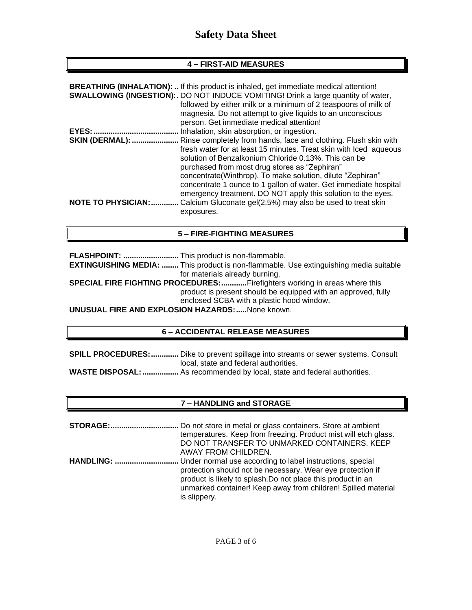#### **4 – FIRST-AID MEASURES**

|                            | <b>BREATHING (INHALATION):  If this product is inhaled, get immediate medical attention!</b> |
|----------------------------|----------------------------------------------------------------------------------------------|
|                            | <b>SWALLOWING (INGESTION):.</b> DO NOT INDUCE VOMITING! Drink a large quantity of water,     |
|                            | followed by either milk or a minimum of 2 teaspoons of milk of                               |
|                            | magnesia. Do not attempt to give liquids to an unconscious                                   |
|                            | person. Get immediate medical attention!                                                     |
|                            | Inhalation, skin absorption, or ingestion.                                                   |
| <b>SKIN (DERMAL): </b>     | Rinse completely from hands, face and clothing. Flush skin with                              |
|                            | fresh water for at least 15 minutes. Treat skin with lced aqueous                            |
|                            | solution of Benzalkonium Chloride 0.13%. This can be                                         |
|                            | purchased from most drug stores as "Zephiran"                                                |
|                            | concentrate(Winthrop). To make solution, dilute "Zephiran"                                   |
|                            | concentrate 1 ounce to 1 gallon of water. Get immediate hospital                             |
|                            | emergency treatment. DO NOT apply this solution to the eyes.                                 |
| <b>NOTE TO PHYSICIAN: </b> | Calcium Gluconate gel(2.5%) may also be used to treat skin                                   |
|                            | exposures.                                                                                   |
|                            |                                                                                              |

#### **5 – FIRE-FIGHTING MEASURES**

**FLASHPOINT: ..........................** This product is non-flammable. **EXTINGUISHING MEDIA: ........** This product is non-flammable. Use extinguishing media suitable for materials already burning. **SPECIAL FIRE FIGHTING PROCEDURES:............**Firefighters working in areas where this

product is present should be equipped with an approved, fully enclosed SCBA with a plastic hood window.

**UNUSUAL FIRE AND EXPLOSION HAZARDS:.....**None known.

#### **6 – ACCIDENTAL RELEASE MEASURES**

**SPILL PROCEDURES:.............** Dike to prevent spillage into streams or sewer systems. Consult local, state and federal authorities. **WASTE DISPOSAL:.................** As recommended by local, state and federal authorities.

### **7 – HANDLING and STORAGE**

**STORAGE:................................** Do not store in metal or glass containers. Store at ambient temperatures. Keep from freezing. Product mist will etch glass. DO NOT TRANSFER TO UNMARKED CONTAINERS. KEEP AWAY FROM CHILDREN. **HANDLING: ..............................** Under normal use according to label instructions, special protection should not be necessary. Wear eye protection if product is likely to splash.Do not place this product in an unmarked container! Keep away from children! Spilled material is slippery.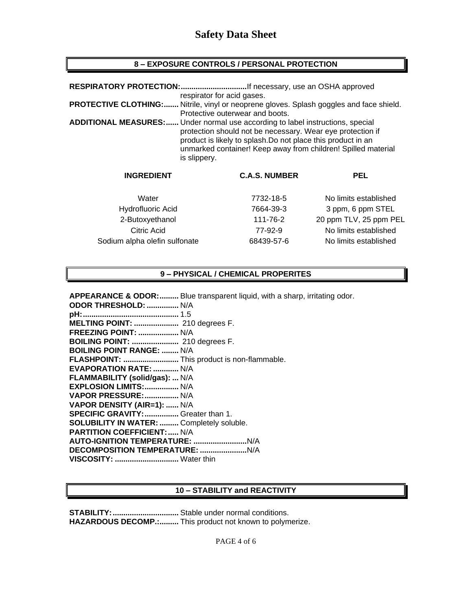## **8 – EXPOSURE CONTROLS / PERSONAL PROTECTION**

| RESPIRATORY PROTECTION:<br>If necessary, use an OSHA approved |                                                                                                                                                                                                                                                                                                      |     |  |  |
|---------------------------------------------------------------|------------------------------------------------------------------------------------------------------------------------------------------------------------------------------------------------------------------------------------------------------------------------------------------------------|-----|--|--|
|                                                               | respirator for acid gases.                                                                                                                                                                                                                                                                           |     |  |  |
| <b>PROTECTIVE CLOTHING:</b>                                   | Nitrile, vinyl or neoprene gloves. Splash goggles and face shield.                                                                                                                                                                                                                                   |     |  |  |
|                                                               | Protective outerwear and boots.                                                                                                                                                                                                                                                                      |     |  |  |
|                                                               | <b>ADDITIONAL MEASURES:</b> Under normal use according to label instructions, special<br>protection should not be necessary. Wear eye protection if<br>product is likely to splash. Do not place this product in an<br>unmarked container! Keep away from children! Spilled material<br>is slippery. |     |  |  |
| <b>INGREDIENT</b>                                             | <b>C.A.S. NUMBER</b>                                                                                                                                                                                                                                                                                 | PEL |  |  |

| Water                         | 7732-18-5  | No limits established  |
|-------------------------------|------------|------------------------|
| Hydrofluoric Acid             | 7664-39-3  | 3 ppm, 6 ppm STEL      |
| 2-Butoxyethanol               | 111-76-2   | 20 ppm TLV, 25 ppm PEL |
| Citric Acid                   | 77-92-9    | No limits established  |
| Sodium alpha olefin sulfonate | 68439-57-6 | No limits established  |

### **9 – PHYSICAL / CHEMICAL PROPERITES**

**APPEARANCE & ODOR:.........** Blue transparent liquid, with a sharp, irritating odor.

| ODOR THRESHOLD:  N/A                             |  |
|--------------------------------------------------|--|
|                                                  |  |
| MELTING POINT:  210 degrees F.                   |  |
| <b>FREEZING POINT:  N/A</b>                      |  |
| <b>BOILING POINT: </b> 210 degrees F.            |  |
| <b>BOILING POINT RANGE:  N/A</b>                 |  |
| FLASHPOINT:  This product is non-flammable.      |  |
| <b>EVAPORATION RATE:  N/A</b>                    |  |
| FLAMMABILITY (solid/gas):  N/A                   |  |
| EXPLOSION LIMITS:  N/A                           |  |
| VAPOR PRESSURE:  N/A                             |  |
| VAPOR DENSITY (AIR=1):  N/A                      |  |
| SPECIFIC GRAVITY:  Greater than 1.               |  |
| <b>SOLUBILITY IN WATER:  Completely soluble.</b> |  |
| <b>PARTITION COEFFICIENT:  N/A</b>               |  |
|                                                  |  |
|                                                  |  |
| VISCOSITY:  Water thin                           |  |
|                                                  |  |

#### **10 – STABILITY and REACTIVITY**

**STABILITY:...............................** Stable under normal conditions. **HAZARDOUS DECOMP.:.........** This product not known to polymerize.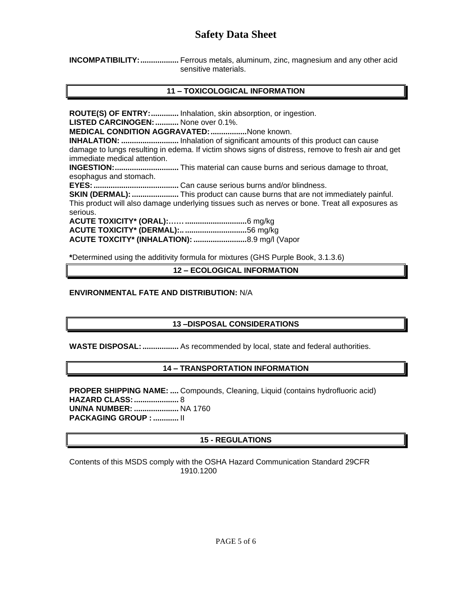**INCOMPATIBILITY:..................** Ferrous metals, aluminum, zinc, magnesium and any other acid sensitive materials.

### **11 – TOXICOLOGICAL INFORMATION**

**ROUTE(S) OF ENTRY:.............** Inhalation, skin absorption, or ingestion.

**LISTED CARCINOGEN:...........** None over 0.1%.

**MEDICAL CONDITION AGGRAVATED:.................**None known.

**INHALATION: ...........................** Inhalation of significant amounts of this product can cause damage to lungs resulting in edema. If victim shows signs of distress, remove to fresh air and get immediate medical attention.

**INGESTION:..............................** This material can cause burns and serious damage to throat, esophagus and stomach.

**EYES:........................................** Can cause serious burns and/or blindness.

**SKIN (DERMAL): .......................** This product can cause burns that are not immediately painful. This product will also damage underlying tissues such as nerves or bone. Treat all exposures as serious.

**ACUTE TOXICITY\* (ORAL):…….............................**6 mg/kg **ACUTE TOXICITY\* (DERMAL):.. .............................**56 mg/kg **ACUTE TOXCITY\* (INHALATION): .........................**8.9 mg/l (Vapor

**\***Determined using the additivity formula for mixtures (GHS Purple Book, 3.1.3.6)

**12 – ECOLOGICAL INFORMATION**

#### **ENVIRONMENTAL FATE AND DISTRIBUTION:** N/A

### **13 –DISPOSAL CONSIDERATIONS**

**WASTE DISPOSAL:.................** As recommended by local, state and federal authorities.

### **14 – TRANSPORTATION INFORMATION**

**PROPER SHIPPING NAME: ....** Compounds, Cleaning, Liquid (contains hydrofluoric acid) **HAZARD CLASS:.....................** 8 **UN/NA NUMBER: .....................** NA 1760 **PACKAGING GROUP : ............** II

# **15 - REGULATIONS**

Contents of this MSDS comply with the OSHA Hazard Communication Standard 29CFR 1910.1200